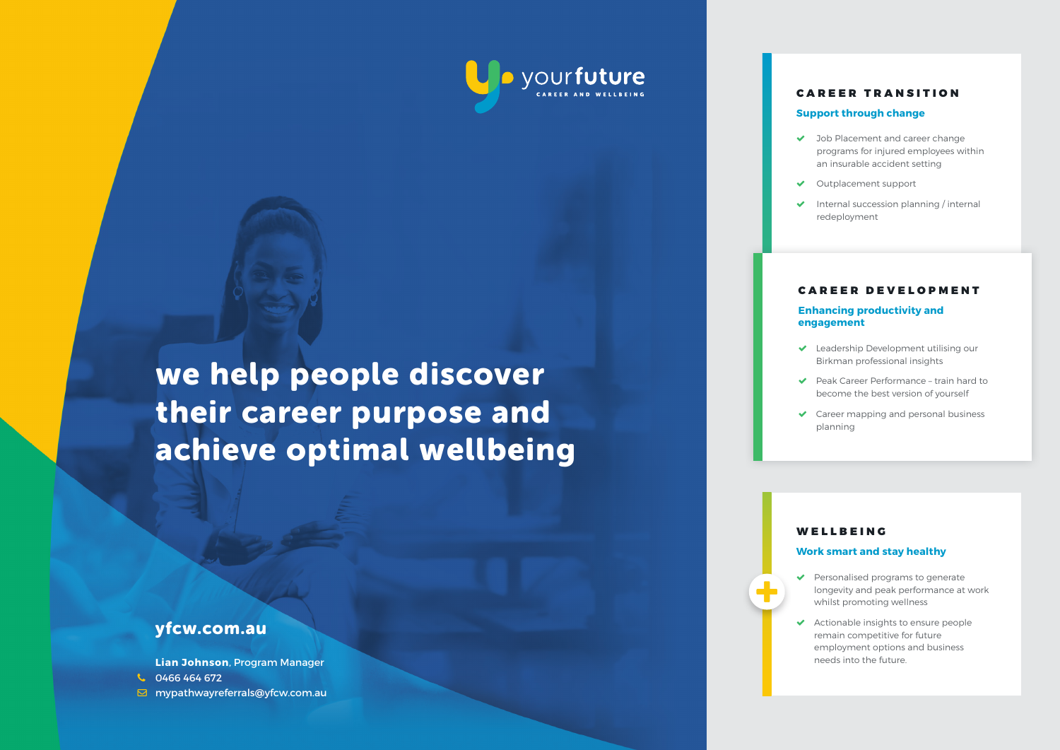

## CAREER TRANSITION

## **Support through change**

- ◆ Job Placement and career change programs for injured employees within an insurable accident setting
- Outplacement support
- $\triangleright$  Internal succession planning / internal redeployment

#### CAREER DEVELOPMENT

## **Enhancing productivity and engagement**

- ◆ Leadership Development utilising our Birkman professional insights
- Peak Career Performance train hard to become the best version of yourself
- ◆ Career mapping and personal business planning

## WELLBEING

#### **Work smart and stay healthy**

- ◆ Personalised programs to generate longevity and peak performance at work whilst promoting wellness
- Actionable insights to ensure people remain competitive for future employment options and business needs into the future.

# we help people discover their career purpose and achieve optimal wellbeing

# yfcw.com.au

**Lian Johnson**, Program Manager 0466 464 672 mypathwayreferrals@yfcw.com.au